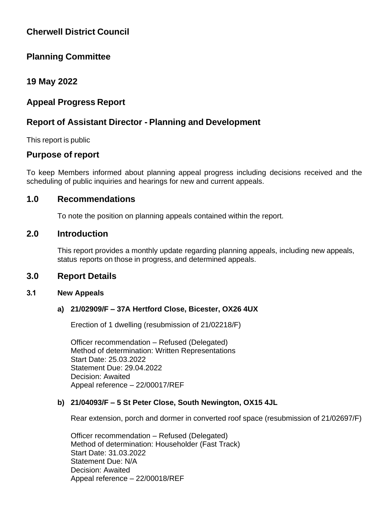# **Cherwell District Council**

# **Planning Committee**

# **19 May 2022**

# **Appeal Progress Report**

# **Report of Assistant Director - Planning and Development**

This report is public

# **Purpose of report**

To keep Members informed about planning appeal progress including decisions received and the scheduling of public inquiries and hearings for new and current appeals.

# **1.0 Recommendations**

To note the position on planning appeals contained within the report.

# **2.0 Introduction**

This report provides a monthly update regarding planning appeals, including new appeals, status reports on those in progress, and determined appeals.

# **3.0 Report Details**

### **3.1 New Appeals**

# **a) 21/02909/F – 37A Hertford Close, Bicester, OX26 4UX**

Erection of 1 dwelling (resubmission of 21/02218/F)

Officer recommendation – Refused (Delegated) Method of determination: Written Representations Start Date: 25.03.2022 Statement Due: 29.04.2022 Decision: Awaited Appeal reference – 22/00017/REF

### **b) 21/04093/F – 5 St Peter Close, South Newington, OX15 4JL**

Rear extension, porch and dormer in converted roof space (resubmission of 21/02697/F)

Officer recommendation – Refused (Delegated) Method of determination: Householder (Fast Track) Start Date: 31.03.2022 Statement Due: N/A Decision: Awaited Appeal reference – 22/00018/REF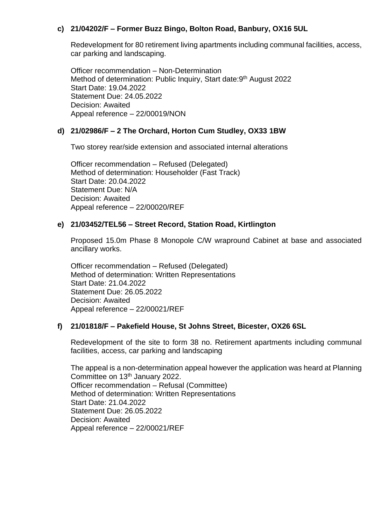# **c) 21/04202/F – Former Buzz Bingo, Bolton Road, Banbury, OX16 5UL**

Redevelopment for 80 retirement living apartments including communal facilities, access, car parking and landscaping.

Officer recommendation – Non-Determination Method of determination: Public Inquiry, Start date: 9<sup>th</sup> August 2022 Start Date: 19.04.2022 Statement Due: 24.05.2022 Decision: Awaited Appeal reference – 22/00019/NON

## **d) 21/02986/F – 2 The Orchard, Horton Cum Studley, OX33 1BW**

Two storey rear/side extension and associated internal alterations

Officer recommendation – Refused (Delegated) Method of determination: Householder (Fast Track) Start Date: 20.04.2022 Statement Due: N/A Decision: Awaited Appeal reference – 22/00020/REF

### **e) 21/03452/TEL56 – Street Record, Station Road, Kirtlington**

Proposed 15.0m Phase 8 Monopole C/W wrapround Cabinet at base and associated ancillary works.

Officer recommendation – Refused (Delegated) Method of determination: Written Representations Start Date: 21.04.2022 Statement Due: 26.05.2022 Decision: Awaited Appeal reference – 22/00021/REF

### **f) 21/01818/F – Pakefield House, St Johns Street, Bicester, OX26 6SL**

Redevelopment of the site to form 38 no. Retirement apartments including communal facilities, access, car parking and landscaping

The appeal is a non-determination appeal however the application was heard at Planning Committee on 13<sup>th</sup> January 2022. Officer recommendation – Refusal (Committee) Method of determination: Written Representations Start Date: 21.04.2022 Statement Due: 26.05.2022 Decision: Awaited Appeal reference – 22/00021/REF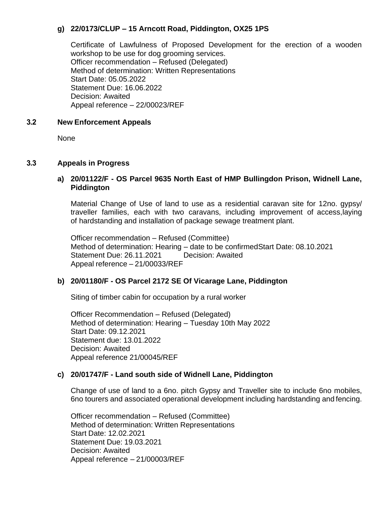# **g) 22/0173/CLUP – 15 Arncott Road, Piddington, OX25 1PS**

Certificate of Lawfulness of Proposed Development for the erection of a wooden workshop to be use for dog grooming services. Officer recommendation – Refused (Delegated) Method of determination: Written Representations Start Date: 05.05.2022 Statement Due: 16.06.2022 Decision: Awaited Appeal reference – 22/00023/REF

## **3.2 New Enforcement Appeals**

None

## **3.3 Appeals in Progress**

### **a) 20/01122/F - OS Parcel 9635 North East of HMP Bullingdon Prison, Widnell Lane, Piddington**

Material Change of Use of land to use as a residential caravan site for 12no. gypsy/ traveller families, each with two caravans, including improvement of access,laying of hardstanding and installation of package sewage treatment plant.

Officer recommendation – Refused (Committee) Method of determination: Hearing – date to be confirmedStart Date: 08.10.2021 Statement Due: 26.11.2021 Decision: Awaited Appeal reference – 21/00033/REF

# **b) 20/01180/F - OS Parcel 2172 SE Of Vicarage Lane, Piddington**

Siting of timber cabin for occupation by a rural worker

Officer Recommendation – Refused (Delegated) Method of determination: Hearing – Tuesday 10th May 2022 Start Date: 09.12.2021 Statement due: 13.01.2022 Decision: Awaited Appeal reference 21/00045/REF

# **c) 20/01747/F - Land south side of Widnell Lane, Piddington**

Change of use of land to a 6no. pitch Gypsy and Traveller site to include 6no mobiles, 6no tourers and associated operational development including hardstanding and fencing.

Officer recommendation – Refused (Committee) Method of determination: Written Representations Start Date: 12.02.2021 Statement Due: 19.03.2021 Decision: Awaited Appeal reference – 21/00003/REF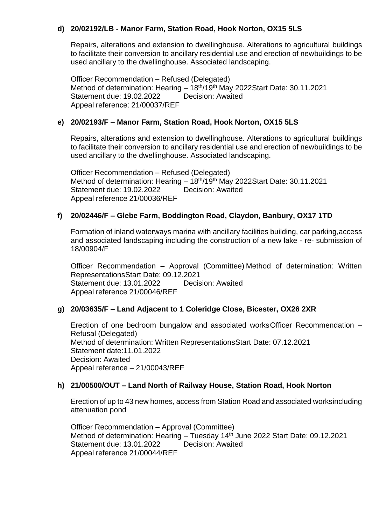# **d) 20/02192/LB - Manor Farm, Station Road, Hook Norton, OX15 5LS**

Repairs, alterations and extension to dwellinghouse. Alterations to agricultural buildings to facilitate their conversion to ancillary residential use and erection of newbuildings to be used ancillary to the dwellinghouse. Associated landscaping.

Officer Recommendation – Refused (Delegated) Method of determination: Hearing - 18<sup>th</sup>/19<sup>th</sup> May 2022Start Date: 30.11.2021 Statement due: 19.02.2022 Decision: Awaited Appeal reference: 21/00037/REF

## **e) 20/02193/F – Manor Farm, Station Road, Hook Norton, OX15 5LS**

Repairs, alterations and extension to dwellinghouse. Alterations to agricultural buildings to facilitate their conversion to ancillary residential use and erection of newbuildings to be used ancillary to the dwellinghouse. Associated landscaping.

Officer Recommendation – Refused (Delegated) Method of determination: Hearing - 18<sup>th</sup>/19<sup>th</sup> May 2022Start Date: 30.11.2021 Statement due: 19.02.2022 Decision: Awaited Appeal reference 21/00036/REF

## **f) 20/02446/F – Glebe Farm, Boddington Road, Claydon, Banbury, OX17 1TD**

Formation of inland waterways marina with ancillary facilities building, car parking,access and associated landscaping including the construction of a new lake - re- submission of 18/00904/F

Officer Recommendation – Approval (Committee) Method of determination: Written RepresentationsStart Date: 09.12.2021 Statement due: 13.01.2022 Decision: Awaited Appeal reference 21/00046/REF

### **g) 20/03635/F – Land Adjacent to 1 Coleridge Close, Bicester, OX26 2XR**

Erection of one bedroom bungalow and associated worksOfficer Recommendation – Refusal (Delegated) Method of determination: Written RepresentationsStart Date: 07.12.2021 Statement date:11.01.2022 Decision: Awaited Appeal reference – 21/00043/REF

### **h) 21/00500/OUT – Land North of Railway House, Station Road, Hook Norton**

Erection of up to 43 new homes, access from Station Road and associated worksincluding attenuation pond

Officer Recommendation – Approval (Committee) Method of determination: Hearing – Tuesday 14<sup>th</sup> June 2022 Start Date: 09.12.2021 Statement due: 13.01.2022 Decision: Awaited Appeal reference 21/00044/REF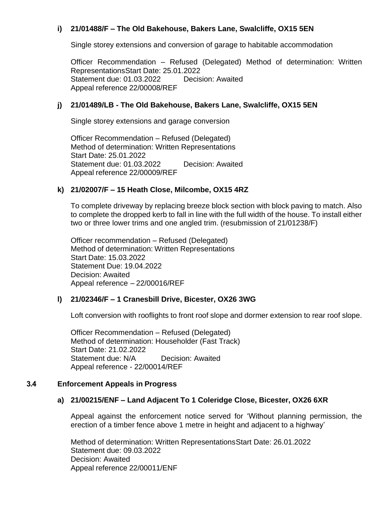# **i) 21/01488/F – The Old Bakehouse, Bakers Lane, Swalcliffe, OX15 5EN**

Single storey extensions and conversion of garage to habitable accommodation

Officer Recommendation – Refused (Delegated) Method of determination: Written RepresentationsStart Date: 25.01.2022 Statement due: 01.03.2022 Decision: Awaited Appeal reference 22/00008/REF

### **j) 21/01489/LB - The Old Bakehouse, Bakers Lane, Swalcliffe, OX15 5EN**

Single storey extensions and garage conversion

Officer Recommendation – Refused (Delegated) Method of determination: Written Representations Start Date: 25.01.2022 Statement due: 01.03.2022 Decision: Awaited Appeal reference 22/00009/REF

#### **k) 21/02007/F – 15 Heath Close, Milcombe, OX15 4RZ**

To complete driveway by replacing breeze block section with block paving to match. Also to complete the dropped kerb to fall in line with the full width of the house. To install either two or three lower trims and one angled trim. (resubmission of 21/01238/F)

Officer recommendation – Refused (Delegated) Method of determination: Written Representations Start Date: 15.03.2022 Statement Due: 19.04.2022 Decision: Awaited Appeal reference – 22/00016/REF

#### **l) 21/02346/F – 1 Cranesbill Drive, Bicester, OX26 3WG**

Loft conversion with rooflights to front roof slope and dormer extension to rear roof slope.

Officer Recommendation – Refused (Delegated) Method of determination: Householder (Fast Track) Start Date: 21.02.2022 Statement due: N/A Decision: Awaited Appeal reference - 22/00014/REF

#### **3.4 Enforcement Appeals in Progress**

#### **a) 21/00215/ENF – Land Adjacent To 1 Coleridge Close, Bicester, OX26 6XR**

Appeal against the enforcement notice served for 'Without planning permission, the erection of a timber fence above 1 metre in height and adjacent to a highway'

Method of determination: Written RepresentationsStart Date: 26.01.2022 Statement due: 09.03.2022 Decision: Awaited Appeal reference 22/00011/ENF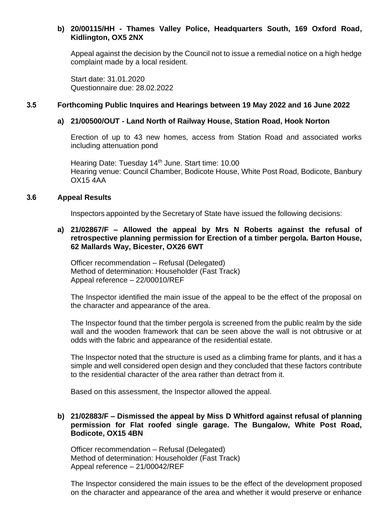## **b) 20/00115/HH - Thames Valley Police, Headquarters South, 169 Oxford Road, Kidlington, OX5 2NX**

Appeal against the decision by the Council not to issue a remedial notice on a high hedge complaint made by a local resident.

Start date: 31.01.2020 Questionnaire due: 28.02.2022

#### **3.5 Forthcoming Public Inquires and Hearings between 19 May 2022 and 16 June 2022**

#### **a) 21/00500/OUT - Land North of Railway House, Station Road, Hook Norton**

Erection of up to 43 new homes, access from Station Road and associated works including attenuation pond

Hearing Date: Tuesday 14<sup>th</sup> June. Start time: 10.00 Hearing venue: Council Chamber, Bodicote House, White Post Road, Bodicote, Banbury OX15 4AA

#### **3.6 Appeal Results**

Inspectors appointed by the Secretary of State have issued the following decisions:

### **a) 21/02867/F – Allowed the appeal by Mrs N Roberts against the refusal of retrospective planning permission for Erection of a timber pergola. Barton House, 62 Mallards Way, Bicester, OX26 6WT**

Officer recommendation – Refusal (Delegated) Method of determination: Householder (Fast Track) Appeal reference – 22/00010/REF

The Inspector identified the main issue of the appeal to be the effect of the proposal on the character and appearance of the area.

The Inspector found that the timber pergola is screened from the public realm by the side wall and the wooden framework that can be seen above the wall is not obtrusive or at odds with the fabric and appearance of the residential estate.

The Inspector noted that the structure is used as a climbing frame for plants, and it has a simple and well considered open design and they concluded that these factors contribute to the residential character of the area rather than detract from it.

Based on this assessment, the Inspector allowed the appeal.

### **b) 21/02883/F – Dismissed the appeal by Miss D Whitford against refusal of planning permission for Flat roofed single garage. The Bungalow, White Post Road, Bodicote, OX15 4BN**

Officer recommendation – Refusal (Delegated) Method of determination: Householder (Fast Track) Appeal reference – 21/00042/REF

The Inspector considered the main issues to be the effect of the development proposed on the character and appearance of the area and whether it would preserve or enhance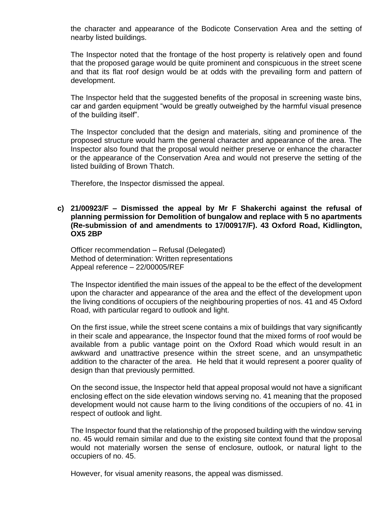the character and appearance of the Bodicote Conservation Area and the setting of nearby listed buildings.

The Inspector noted that the frontage of the host property is relatively open and found that the proposed garage would be quite prominent and conspicuous in the street scene and that its flat roof design would be at odds with the prevailing form and pattern of development.

The Inspector held that the suggested benefits of the proposal in screening waste bins, car and garden equipment "would be greatly outweighed by the harmful visual presence of the building itself".

The Inspector concluded that the design and materials, siting and prominence of the proposed structure would harm the general character and appearance of the area. The Inspector also found that the proposal would neither preserve or enhance the character or the appearance of the Conservation Area and would not preserve the setting of the listed building of Brown Thatch.

Therefore, the Inspector dismissed the appeal.

#### **c) 21/00923/F – Dismissed the appeal by Mr F Shakerchi against the refusal of planning permission for Demolition of bungalow and replace with 5 no apartments (Re-submission of and amendments to 17/00917/F). 43 Oxford Road, Kidlington, OX5 2BP**

Officer recommendation – Refusal (Delegated) Method of determination: Written representations Appeal reference – 22/00005/REF

The Inspector identified the main issues of the appeal to be the effect of the development upon the character and appearance of the area and the effect of the development upon the living conditions of occupiers of the neighbouring properties of nos. 41 and 45 Oxford Road, with particular regard to outlook and light.

On the first issue, while the street scene contains a mix of buildings that vary significantly in their scale and appearance, the Inspector found that the mixed forms of roof would be available from a public vantage point on the Oxford Road which would result in an awkward and unattractive presence within the street scene, and an unsympathetic addition to the character of the area. He held that it would represent a poorer quality of design than that previously permitted.

On the second issue, the Inspector held that appeal proposal would not have a significant enclosing effect on the side elevation windows serving no. 41 meaning that the proposed development would not cause harm to the living conditions of the occupiers of no. 41 in respect of outlook and light.

The Inspector found that the relationship of the proposed building with the window serving no. 45 would remain similar and due to the existing site context found that the proposal would not materially worsen the sense of enclosure, outlook, or natural light to the occupiers of no. 45.

However, for visual amenity reasons, the appeal was dismissed.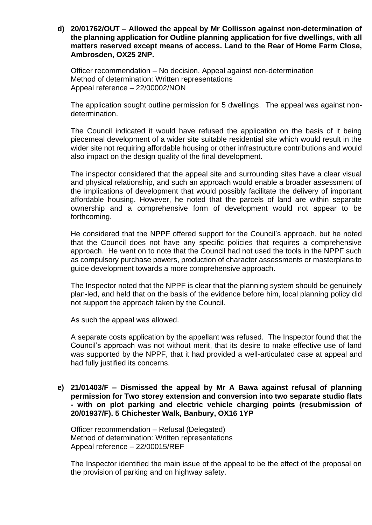**d) 20/01762/OUT – Allowed the appeal by Mr Collisson against non-determination of the planning application for Outline planning application for five dwellings, with all matters reserved except means of access. Land to the Rear of Home Farm Close, Ambrosden, OX25 2NP.**

Officer recommendation – No decision. Appeal against non-determination Method of determination: Written representations Appeal reference – 22/00002/NON

The application sought outline permission for 5 dwellings. The appeal was against nondetermination.

The Council indicated it would have refused the application on the basis of it being piecemeal development of a wider site suitable residential site which would result in the wider site not requiring affordable housing or other infrastructure contributions and would also impact on the design quality of the final development.

The inspector considered that the appeal site and surrounding sites have a clear visual and physical relationship, and such an approach would enable a broader assessment of the implications of development that would possibly facilitate the delivery of important affordable housing. However, he noted that the parcels of land are within separate ownership and a comprehensive form of development would not appear to be forthcoming.

He considered that the NPPF offered support for the Council's approach, but he noted that the Council does not have any specific policies that requires a comprehensive approach. He went on to note that the Council had not used the tools in the NPPF such as compulsory purchase powers, production of character assessments or masterplans to guide development towards a more comprehensive approach.

The Inspector noted that the NPPF is clear that the planning system should be genuinely plan-led, and held that on the basis of the evidence before him, local planning policy did not support the approach taken by the Council.

As such the appeal was allowed.

A separate costs application by the appellant was refused. The Inspector found that the Council's approach was not without merit, that its desire to make effective use of land was supported by the NPPF, that it had provided a well-articulated case at appeal and had fully justified its concerns.

**e) 21/01403/F – Dismissed the appeal by Mr A Bawa against refusal of planning permission for Two storey extension and conversion into two separate studio flats - with on plot parking and electric vehicle charging points (resubmission of 20/01937/F). 5 Chichester Walk, Banbury, OX16 1YP**

Officer recommendation – Refusal (Delegated) Method of determination: Written representations Appeal reference – 22/00015/REF

The Inspector identified the main issue of the appeal to be the effect of the proposal on the provision of parking and on highway safety.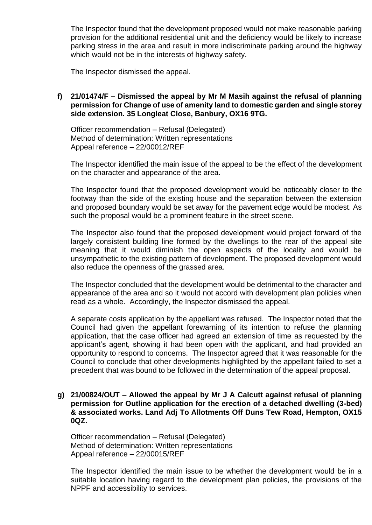The Inspector found that the development proposed would not make reasonable parking provision for the additional residential unit and the deficiency would be likely to increase parking stress in the area and result in more indiscriminate parking around the highway which would not be in the interests of highway safety.

The Inspector dismissed the appeal.

### **f) 21/01474/F – Dismissed the appeal by Mr M Masih against the refusal of planning permission for Change of use of amenity land to domestic garden and single storey side extension. 35 Longleat Close, Banbury, OX16 9TG.**

Officer recommendation – Refusal (Delegated) Method of determination: Written representations Appeal reference – 22/00012/REF

The Inspector identified the main issue of the appeal to be the effect of the development on the character and appearance of the area.

The Inspector found that the proposed development would be noticeably closer to the footway than the side of the existing house and the separation between the extension and proposed boundary would be set away for the pavement edge would be modest. As such the proposal would be a prominent feature in the street scene.

The Inspector also found that the proposed development would project forward of the largely consistent building line formed by the dwellings to the rear of the appeal site meaning that it would diminish the open aspects of the locality and would be unsympathetic to the existing pattern of development. The proposed development would also reduce the openness of the grassed area.

The Inspector concluded that the development would be detrimental to the character and appearance of the area and so it would not accord with development plan policies when read as a whole. Accordingly, the Inspector dismissed the appeal.

A separate costs application by the appellant was refused. The Inspector noted that the Council had given the appellant forewarning of its intention to refuse the planning application, that the case officer had agreed an extension of time as requested by the applicant's agent, showing it had been open with the applicant, and had provided an opportunity to respond to concerns. The Inspector agreed that it was reasonable for the Council to conclude that other developments highlighted by the appellant failed to set a precedent that was bound to be followed in the determination of the appeal proposal.

### **g) 21/00824/OUT – Allowed the appeal by Mr J A Calcutt against refusal of planning permission for Outline application for the erection of a detached dwelling (3-bed) & associated works. Land Adj To Allotments Off Duns Tew Road, Hempton, OX15 0QZ.**

Officer recommendation – Refusal (Delegated) Method of determination: Written representations Appeal reference – 22/00015/REF

The Inspector identified the main issue to be whether the development would be in a suitable location having regard to the development plan policies, the provisions of the NPPF and accessibility to services.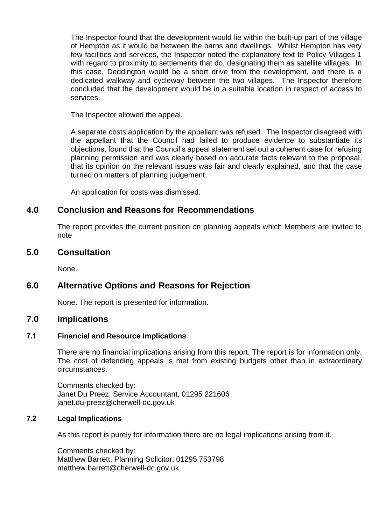The Inspector found that the development would lie within the built-up part of the village of Hempton as it would be between the barns and dwellings. Whilst Hempton has very few facilities and services, the Inspector noted the explanatory text to Policy Villages 1 with regard to proximity to settlements that do, designating them as satellite villages. In this case, Deddington would be a short drive from the development, and there is a dedicated walkway and cycleway between the two villages. The Inspector therefore concluded that the development would be in a suitable location in respect of access to services.

The Inspector allowed the appeal.

A separate costs application by the appellant was refused. The Inspector disagreed with the appellant that the Council had failed to produce evidence to substantiate its objections, found that the Council's appeal statement set out a coherent case for refusing planning permission and was clearly based on accurate facts relevant to the proposal, that its opinion on the relevant issues was fair and clearly explained, and that the case turned on matters of planning judgement.

An application for costs was dismissed.

# **4.0 Conclusion and Reasons for Recommendations**

The report provides the current position on planning appeals which Members are invited to note

## **5.0 Consultation**

None.

# **6.0 Alternative Options and Reasons for Rejection**

None. The report is presented for information.

### **7.0 Implications**

# **7.1 Financial and Resource Implications**

There are no financial implications arising from this report. The report is for information only. The cost of defending appeals is met from existing budgets other than in extraordinary circumstances.

Comments checked by: Janet Du Preez, Service Accountant, 01295 221606 [janet.du-preez@cherwell-dc.gov.uk](mailto:janet.du-preez@cherwell-dc.gov.uk)

#### **7.2 Legal Implications**

As this report is purely for information there are no legal implications arising from it.

Comments checked by: Matthew Barrett, Planning Solicitor, 01295 753798 [matthew.barrett@cherwell-dc.gov.uk](mailto:matthew.barrett@cherwell-dc.gov.uk)